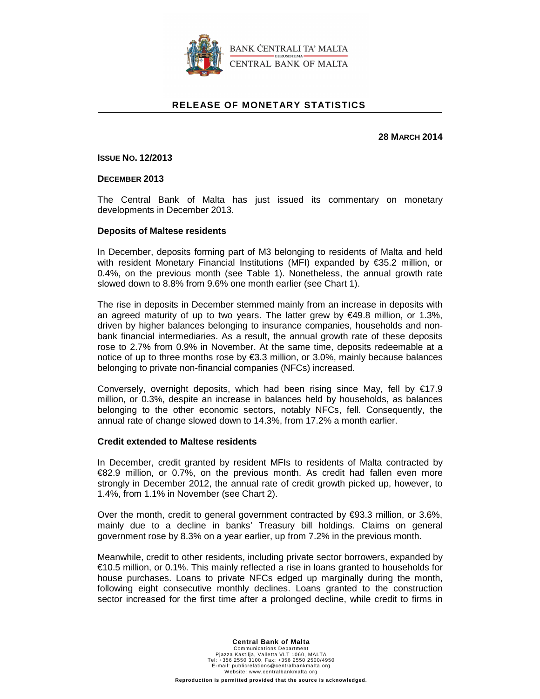

### **RELEASE OF MONETARY STATISTICS**

**28 MARCH 2014** 

**ISSUE NO. 12/2013**

**DECEMBER 2013** 

The Central Bank of Malta has just issued its commentary on monetary developments in December 2013.

#### **Deposits of Maltese residents**

In December, deposits forming part of M3 belonging to residents of Malta and held with resident Monetary Financial Institutions (MFI) expanded by €35.2 million, or 0.4%, on the previous month (see Table 1). Nonetheless, the annual growth rate slowed down to 8.8% from 9.6% one month earlier (see Chart 1).

The rise in deposits in December stemmed mainly from an increase in deposits with an agreed maturity of up to two years. The latter grew by €49.8 million, or 1.3%, driven by higher balances belonging to insurance companies, households and nonbank financial intermediaries. As a result, the annual growth rate of these deposits rose to 2.7% from 0.9% in November. At the same time, deposits redeemable at a notice of up to three months rose by €3.3 million, or 3.0%, mainly because balances belonging to private non-financial companies (NFCs) increased.

Conversely, overnight deposits, which had been rising since May, fell by €17.9 million, or 0.3%, despite an increase in balances held by households, as balances belonging to the other economic sectors, notably NFCs, fell. Consequently, the annual rate of change slowed down to 14.3%, from 17.2% a month earlier.

#### **Credit extended to Maltese residents**

In December, credit granted by resident MFIs to residents of Malta contracted by €82.9 million, or 0.7%, on the previous month. As credit had fallen even more strongly in December 2012, the annual rate of credit growth picked up, however, to 1.4%, from 1.1% in November (see Chart 2).

Over the month, credit to general government contracted by  $\epsilon$ 93.3 million, or 3.6%, mainly due to a decline in banks' Treasury bill holdings. Claims on general government rose by 8.3% on a year earlier, up from 7.2% in the previous month.

Meanwhile, credit to other residents, including private sector borrowers, expanded by €10.5 million, or 0.1%. This mainly reflected a rise in loans granted to households for house purchases. Loans to private NFCs edged up marginally during the month, following eight consecutive monthly declines. Loans granted to the construction sector increased for the first time after a prolonged decline, while credit to firms in

#### **Central Bank of Malta**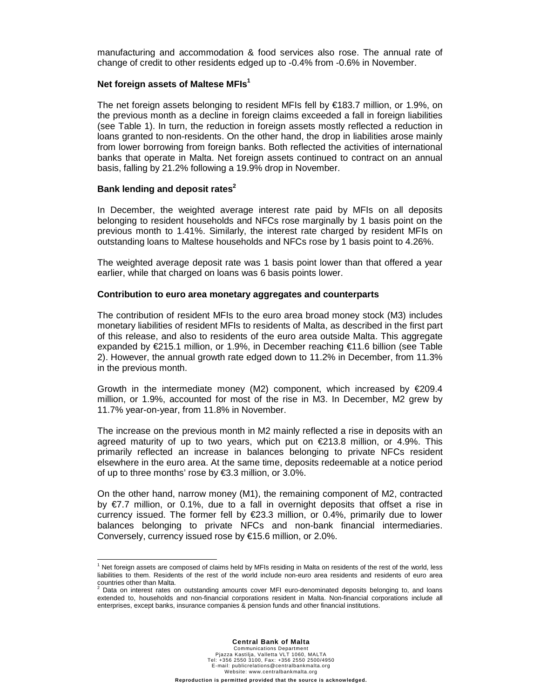manufacturing and accommodation & food services also rose. The annual rate of change of credit to other residents edged up to -0.4% from -0.6% in November.

#### **Net foreign assets of Maltese MFIs<sup>1</sup>**

The net foreign assets belonging to resident MFIs fell by €183.7 million, or 1.9%, on the previous month as a decline in foreign claims exceeded a fall in foreign liabilities (see Table 1). In turn, the reduction in foreign assets mostly reflected a reduction in loans granted to non-residents. On the other hand, the drop in liabilities arose mainly from lower borrowing from foreign banks. Both reflected the activities of international banks that operate in Malta. Net foreign assets continued to contract on an annual basis, falling by 21.2% following a 19.9% drop in November.

#### **Bank lending and deposit rates<sup>2</sup>**

 $\overline{a}$ 

In December, the weighted average interest rate paid by MFIs on all deposits belonging to resident households and NFCs rose marginally by 1 basis point on the previous month to 1.41%. Similarly, the interest rate charged by resident MFIs on outstanding loans to Maltese households and NFCs rose by 1 basis point to 4.26%.

The weighted average deposit rate was 1 basis point lower than that offered a year earlier, while that charged on loans was 6 basis points lower.

#### **Contribution to euro area monetary aggregates and counterparts**

The contribution of resident MFIs to the euro area broad money stock (M3) includes monetary liabilities of resident MFIs to residents of Malta, as described in the first part of this release, and also to residents of the euro area outside Malta. This aggregate expanded by €215.1 million, or 1.9%, in December reaching €11.6 billion (see Table 2). However, the annual growth rate edged down to 11.2% in December, from 11.3% in the previous month.

Growth in the intermediate money (M2) component, which increased by  $\epsilon$ 209.4 million, or 1.9%, accounted for most of the rise in M3. In December, M2 grew by 11.7% year-on-year, from 11.8% in November.

The increase on the previous month in M2 mainly reflected a rise in deposits with an agreed maturity of up to two years, which put on €213.8 million, or 4.9%. This primarily reflected an increase in balances belonging to private NFCs resident elsewhere in the euro area. At the same time, deposits redeemable at a notice period of up to three months' rose by €3.3 million, or 3.0%.

On the other hand, narrow money (M1), the remaining component of M2, contracted by  $\epsilon$ 7.7 million, or 0.1%, due to a fall in overnight deposits that offset a rise in currency issued. The former fell by €23.3 million, or 0.4%, primarily due to lower balances belonging to private NFCs and non-bank financial intermediaries. Conversely, currency issued rose by €15.6 million, or 2.0%.

<sup>&</sup>lt;sup>1</sup> Net foreign assets are composed of claims held by MFIs residing in Malta on residents of the rest of the world, less liabilities to them. Residents of the rest of the world include non-euro area residents and residents of euro area countries other than Malta.<br><sup>2</sup> Deta an interest rates a

Data on interest rates on outstanding amounts cover MFI euro-denominated deposits belonging to, and loans extended to, households and non-financial corporations resident in Malta. Non-financial corporations include all enterprises, except banks, insurance companies & pension funds and other financial institutions.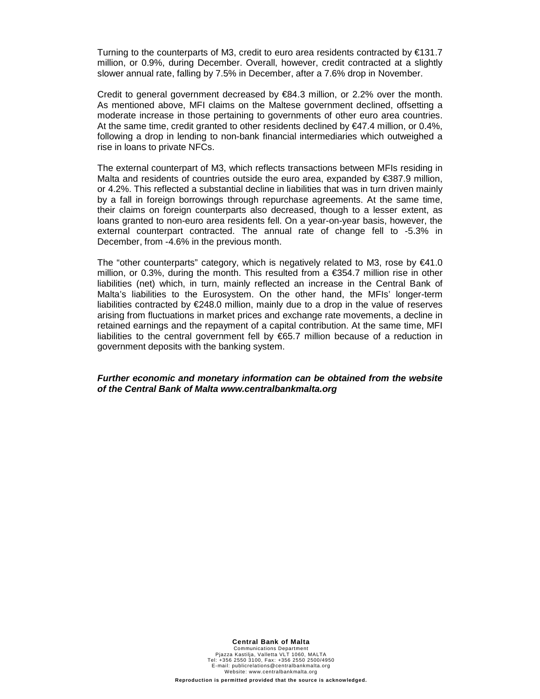Turning to the counterparts of M3, credit to euro area residents contracted by  $\epsilon$ 131.7 million, or 0.9%, during December. Overall, however, credit contracted at a slightly slower annual rate, falling by 7.5% in December, after a 7.6% drop in November.

Credit to general government decreased by  $\in$ 84.3 million, or 2.2% over the month. As mentioned above, MFI claims on the Maltese government declined, offsetting a moderate increase in those pertaining to governments of other euro area countries. At the same time, credit granted to other residents declined by  $\epsilon$ 47.4 million, or 0.4%, following a drop in lending to non-bank financial intermediaries which outweighed a rise in loans to private NFCs.

The external counterpart of M3, which reflects transactions between MFIs residing in Malta and residents of countries outside the euro area, expanded by €387.9 million, or 4.2%. This reflected a substantial decline in liabilities that was in turn driven mainly by a fall in foreign borrowings through repurchase agreements. At the same time, their claims on foreign counterparts also decreased, though to a lesser extent, as loans granted to non-euro area residents fell. On a year-on-year basis, however, the external counterpart contracted. The annual rate of change fell to -5.3% in December, from -4.6% in the previous month.

The "other counterparts" category, which is negatively related to M3, rose by  $€41.0$ million, or 0.3%, during the month. This resulted from a €354.7 million rise in other liabilities (net) which, in turn, mainly reflected an increase in the Central Bank of Malta's liabilities to the Eurosystem. On the other hand, the MFIs' longer-term liabilities contracted by €248.0 million, mainly due to a drop in the value of reserves arising from fluctuations in market prices and exchange rate movements, a decline in retained earnings and the repayment of a capital contribution. At the same time, MFI liabilities to the central government fell by €65.7 million because of a reduction in government deposits with the banking system.

#### **Further economic and monetary information can be obtained from the website of the Central Bank of Malta www.centralbankmalta.org**

**Central Bank of Malta**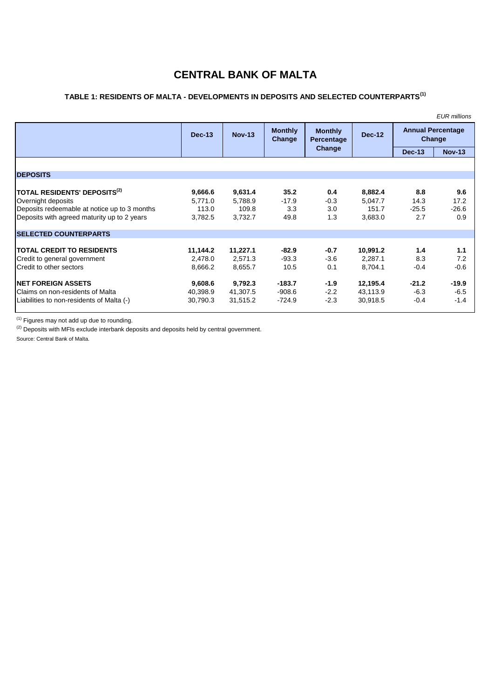# **CENTRAL BANK OF MALTA**

## **TABLE 1: RESIDENTS OF MALTA - DEVELOPMENTS IN DEPOSITS AND SELECTED COUNTERPARTS(1)**

|                                                                           |                    |                    |                          |                              |                    |                                    | <b>EUR</b> millions |
|---------------------------------------------------------------------------|--------------------|--------------------|--------------------------|------------------------------|--------------------|------------------------------------|---------------------|
|                                                                           | $Dec-13$           | <b>Nov-13</b>      | <b>Monthly</b><br>Change | <b>Monthly</b><br>Percentage | <b>Dec-12</b>      | <b>Annual Percentage</b><br>Change |                     |
|                                                                           |                    |                    |                          | Change                       |                    | <b>Dec-13</b>                      | <b>Nov-13</b>       |
|                                                                           |                    |                    |                          |                              |                    |                                    |                     |
| <b>DEPOSITS</b>                                                           |                    |                    |                          |                              |                    |                                    |                     |
| <b>TOTAL RESIDENTS' DEPOSITS<math>^{(2)}</math></b><br>Overnight deposits | 9,666.6<br>5,771.0 | 9,631.4<br>5,788.9 | 35.2<br>$-17.9$          | 0.4<br>$-0.3$                | 8,882.4<br>5,047.7 | 8.8<br>14.3                        | 9.6<br>17.2         |
| Deposits redeemable at notice up to 3 months                              | 113.0              | 109.8              | 3.3                      | 3.0                          | 151.7              | $-25.5$                            | $-26.6$             |
| Deposits with agreed maturity up to 2 years                               | 3,782.5            | 3,732.7            | 49.8                     | 1.3                          | 3,683.0            | 2.7                                | 0.9                 |
| <b>SELECTED COUNTERPARTS</b>                                              |                    |                    |                          |                              |                    |                                    |                     |
| <b>TOTAL CREDIT TO RESIDENTS</b>                                          | 11,144.2           | 11,227.1           | $-82.9$                  | $-0.7$                       | 10,991.2           | 1.4                                | 1.1                 |
| Credit to general government                                              | 2,478.0            | 2,571.3            | $-93.3$                  | $-3.6$                       | 2,287.1            | 8.3                                | 7.2                 |
| Credit to other sectors                                                   | 8,666.2            | 8,655.7            | 10.5                     | 0.1                          | 8,704.1            | $-0.4$                             | $-0.6$              |
| <b>INET FOREIGN ASSETS</b>                                                | 9,608.6            | 9,792.3            | $-183.7$                 | $-1.9$                       | 12,195.4           | $-21.2$                            | $-19.9$             |
| l Claims on non-residents of Malta                                        | 40,398.9           | 41,307.5           | $-908.6$                 | $-2.2$                       | 43,113.9           | $-6.3$                             | $-6.5$              |
| Liabilities to non-residents of Malta (-)                                 | 30,790.3           | 31,515.2           | $-724.9$                 | $-2.3$                       | 30,918.5           | $-0.4$                             | $-1.4$              |

 $<sup>(1)</sup>$  Figures may not add up due to rounding.</sup>

 $<sup>(2)</sup>$  Deposits with MFIs exclude interbank deposits and deposits held by central government.</sup>

Source: Central Bank of Malta.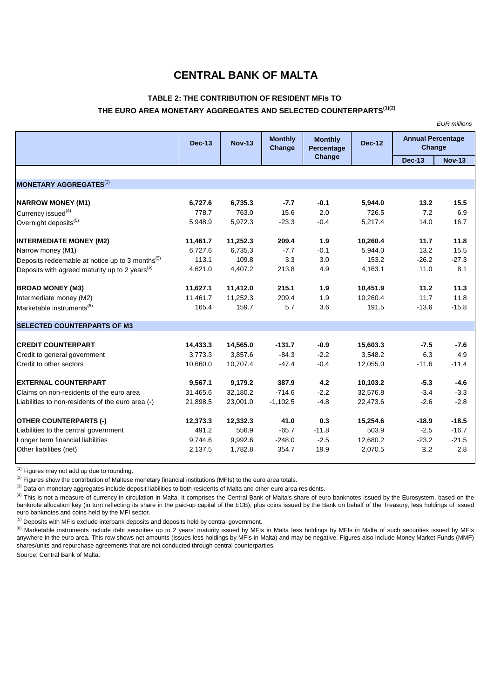## **CENTRAL BANK OF MALTA**

## **TABLE 2: THE CONTRIBUTION OF RESIDENT MFIs TO THE EURO AREA MONETARY AGGREGATES AND SELECTED COUNTERPARTS(1)(2)**

*EUR millions*

| <b>Dec-13</b> | <b>Nov-13</b> | <b>Monthly</b><br>Change | <b>Monthly</b><br>Percentage | <b>Dec-12</b> | <b>Annual Percentage</b><br>Change |               |  |
|---------------|---------------|--------------------------|------------------------------|---------------|------------------------------------|---------------|--|
|               |               |                          |                              |               | <b>Dec-13</b>                      | <b>Nov-13</b> |  |
|               |               |                          |                              |               |                                    |               |  |
|               |               |                          |                              |               |                                    |               |  |
| 6,727.6       | 6,735.3       | $-7.7$                   | $-0.1$                       | 5,944.0       | 13.2                               | 15.5          |  |
| 778.7         | 763.0         | 15.6                     | 2.0                          | 726.5         | 7.2                                | 6.9           |  |
| 5,948.9       | 5,972.3       | $-23.3$                  | $-0.4$                       | 5,217.4       | 14.0                               | 16.7          |  |
| 11,461.7      | 11,252.3      | 209.4                    | 1.9                          | 10,260.4      | 11.7                               | 11.8          |  |
| 6,727.6       | 6,735.3       | $-7.7$                   | $-0.1$                       | 5,944.0       | 13.2                               | 15.5          |  |
| 113.1         | 109.8         | 3.3                      | 3.0                          | 153.2         | $-26.2$                            | $-27.3$       |  |
| 4,621.0       | 4,407.2       | 213.8                    | 4.9                          | 4,163.1       | 11.0                               | 8.1           |  |
| 11,627.1      | 11,412.0      | 215.1                    | 1.9                          | 10,451.9      | 11.2                               | 11.3          |  |
| 11,461.7      | 11,252.3      | 209.4                    | 1.9                          | 10,260.4      | 11.7                               | 11.8          |  |
| 165.4         | 159.7         | 5.7                      | 3.6                          | 191.5         | $-13.6$                            | $-15.8$       |  |
|               |               |                          |                              |               |                                    |               |  |
| 14,433.3      | 14,565.0      | $-131.7$                 | $-0.9$                       | 15,603.3      | $-7.5$                             | $-7.6$        |  |
| 3,773.3       | 3,857.6       | $-84.3$                  | $-2.2$                       | 3,548.2       | 6.3                                | 4.9           |  |
| 10,660.0      | 10,707.4      | $-47.4$                  | $-0.4$                       | 12,055.0      | $-11.6$                            | $-11.4$       |  |
| 9,567.1       | 9,179.2       | 387.9                    | 4.2                          | 10,103.2      | $-5.3$                             | $-4.6$        |  |
| 31,465.6      | 32,180.2      | $-714.6$                 | $-2.2$                       | 32,576.8      | $-3.4$                             | $-3.3$        |  |
| 21,898.5      | 23,001.0      | $-1,102.5$               | $-4.8$                       | 22,473.6      | $-2.6$                             | $-2.8$        |  |
| 12,373.3      | 12,332.3      | 41.0                     | 0.3                          | 15,254.6      | $-18.9$                            | $-18.5$       |  |
| 491.2         | 556.9         | $-65.7$                  | $-11.8$                      | 503.9         | $-2.5$                             | $-16.7$       |  |
| 9,744.6       | 9,992.6       | $-248.0$                 | $-2.5$                       | 12,680.2      | $-23.2$                            | $-21.5$       |  |
| 2,137.5       | 1,782.8       | 354.7                    | 19.9                         | 2,070.5       | 3.2                                | 2.8           |  |
|               |               |                          |                              | Change        |                                    |               |  |

 $(1)$  Figures may not add up due to rounding.

<sup>(2)</sup> Figures show the contribution of Maltese monetary financial institutions (MFIs) to the euro area totals.

(3) Data on monetary aggregates include deposit liabilities to both residents of Malta and other euro area residents.

<sup>(4)</sup> This is not a measure of currency in circulation in Malta. It comprises the Central Bank of Malta's share of euro banknotes issued by the Eurosystem, based on the banknote allocation key (in turn reflecting its share in the paid-up capital of the ECB), plus coins issued by the Bank on behalf of the Treasury, less holdings of issued euro banknotes and coins held by the MFI sector.

 $<sup>(5)</sup>$  Deposits with MFIs exclude interbank deposits and deposits held by central government.</sup>

<sup>(6)</sup> Marketable instruments include debt securities up to 2 years' maturity issued by MFIs in Malta less holdings by MFIs in Malta of such securities issued by MFIs anywhere in the euro area. This row shows net amounts (issues less holdings by MFIs in Malta) and may be negative. Figures also include Money Market Funds (MMF) shares/units and repurchase agreements that are not conducted through central counterparties.

Source: Central Bank of Malta.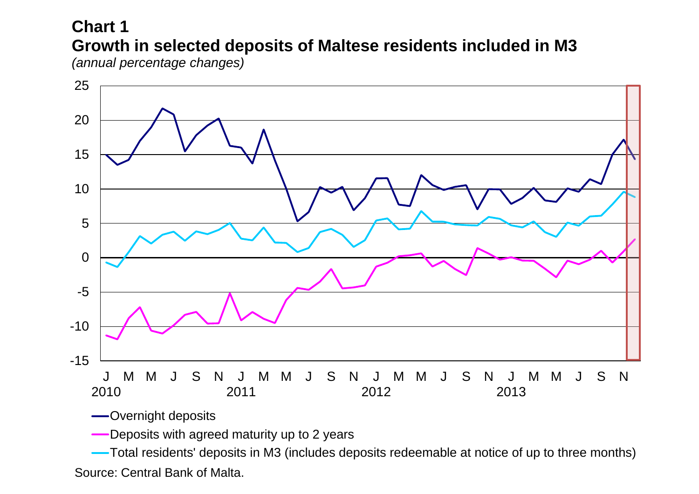# **Chart 1 Growth in selected deposits of Maltese residents included in M3**

*(annual percentage changes)*



Overnight deposits

**-Deposits with agreed maturity up to 2 years** 

Total residents' deposits in M3 (includes deposits redeemable at notice of up to three months) Source: Central Bank of Malta.